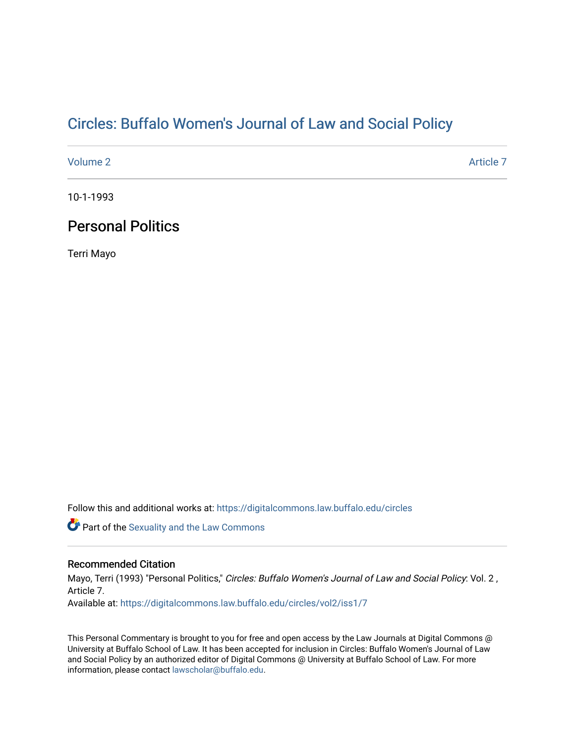# Cir[cles: Buffalo Women's Journal of Law and Social P](https://digitalcommons.law.buffalo.edu/circles)olicy

[Volume 2](https://digitalcommons.law.buffalo.edu/circles/vol2) Article 7

10-1-1993

## Personal Politics

Terri Mayo

Follow this and additional works at: [https://digitalcommons.law.buffalo.edu/circles](https://digitalcommons.law.buffalo.edu/circles?utm_source=digitalcommons.law.buffalo.edu%2Fcircles%2Fvol2%2Fiss1%2F7&utm_medium=PDF&utm_campaign=PDFCoverPages)

Part of the [Sexuality and the Law Commons](http://network.bepress.com/hgg/discipline/877?utm_source=digitalcommons.law.buffalo.edu%2Fcircles%2Fvol2%2Fiss1%2F7&utm_medium=PDF&utm_campaign=PDFCoverPages)

#### Recommended Citation

Mayo, Terri (1993) "Personal Politics," Circles: Buffalo Women's Journal of Law and Social Policy: Vol. 2, Article 7. Available at: [https://digitalcommons.law.buffalo.edu/circles/vol2/iss1/7](https://digitalcommons.law.buffalo.edu/circles/vol2/iss1/7?utm_source=digitalcommons.law.buffalo.edu%2Fcircles%2Fvol2%2Fiss1%2F7&utm_medium=PDF&utm_campaign=PDFCoverPages)

This Personal Commentary is brought to you for free and open access by the Law Journals at Digital Commons @ University at Buffalo School of Law. It has been accepted for inclusion in Circles: Buffalo Women's Journal of Law and Social Policy by an authorized editor of Digital Commons @ University at Buffalo School of Law. For more information, please contact [lawscholar@buffalo.edu.](mailto:lawscholar@buffalo.edu)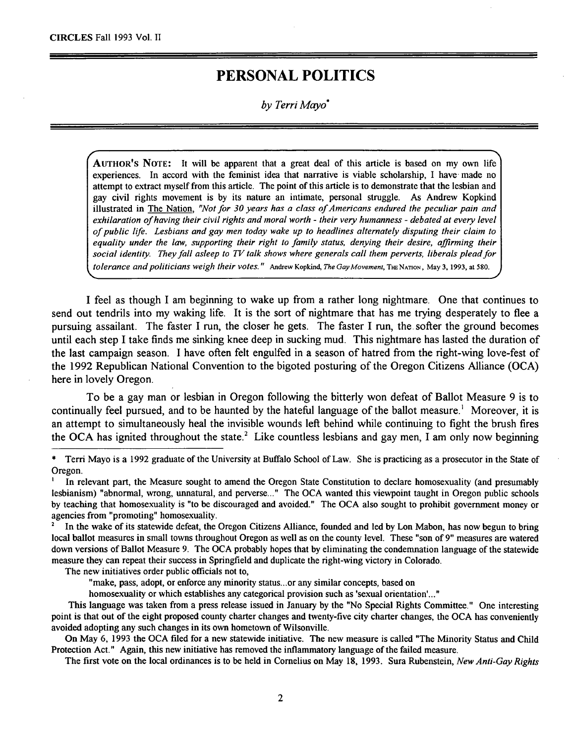## **PERSONAL POLITICS**

*by Terri Mayo\**

AUTHOR'S NOTE: It will be apparent that a great deal of this article is based on my own life experiences. In accord with the feminist idea that narrative is viable scholarship, I have made no attempt to extract myself from this article. The point of this article is to demonstrate that the lesbian and gay civil rights movement is by its nature an intimate, personal struggle. As Andrew Kopkind illustrated in The Nation, *"Not for* **30** *years has a class of Americans endured the peculiar pain and exhilaration of having their civil rights and moral worth - their very humanness - debated at every level of public life. Lesbians and gay men today wake up to headlines alternately disputing their claim to equality under the law, supporting their right to family status, denying their desire, affirming their* social identity. They *fall asleep to TV talk shows where generals call them perverts, liberals plead for tolerance and politicians weigh their votes."* Andrew Kopkind, *The Gay Movement,* **THENATION,** May **3,** 1993, at 580.

I feel as though I am beginning to wake up from a rather long nightmare. One that continues to send out tendrils into my waking life. It is the sort of nightmare that has me trying desperately to flee a pursuing assailant. The faster I run, the closer he gets. The faster I run, the softer the ground becomes until each step I take finds me sinking knee deep in sucking mud. This nightmare has lasted the duration of the last campaign season. I have often felt engulfed in a season of hatred from the right-wing love-fest of the 1992 Republican National Convention to the bigoted posturing of the Oregon Citizens Alliance (OCA) here in lovely Oregon.

To be a gay man or lesbian in Oregon following the bitterly won defeat of Ballot Measure 9 is to continually feel pursued, and to be haunted by the hateful language of the ballot measure.' Moreover, it is an attempt to simultaneously heal the invisible wounds left behind while continuing to fight the brush fires the OCA has ignited throughout the state.<sup>2</sup> Like countless lesbians and gay men, I am only now beginning

<sup>2</sup>In the wake of its statewide defeat, the Oregon Citizens Alliance, founded and led by Lon Mabon, has now begun to bring local ballot measures in small towns throughout Oregon as well as on the county level. These "son of 9" measures are watered down versions of Ballot Measure 9. The OCA probably hopes that by eliminating the condenmation language of the statewide measure they can repeat their success in Springfield and duplicate the right-wing victory in Colorado.

The new initiatives order public officials not to,

"make, pass, adopt, or enforce any minority status...or any similar concepts, based on

homosexuality or which establishes any categorical provision such as 'sexual orientation'..."

This language was taken from a press release issued in January by the "No Special Rights Committee." One interesting point is that out of the eight proposed county charter changes and twenty-five city charter changes, the OCA has conveniently avoided adopting any such changes in its own hometown of Wilsonville.

On May 6, 1993 the OCA filed for a new statewide initiative. The new measure is called "The Minority Status and Child Protection Act." Again, this new initiative has removed the inflammatory language of the failed measure.

The first vote on the local ordinances is to be held in Cornelius on May 18, 1993. Sura Rubenstein, *New Anti-Gay Rights*

Terri Mayo is a 1992 graduate of the University at Buffalo School of Law. She is practicing as a prosecutor in the State of Oregon.<br><sup>I</sup> In relevant part, the Measure sought to amend the Oregon State Constitution to declare homosexuality (and presumably

lesbianism) "abnormal, wrong, unnatural, and perverse..." The OCA wanted this viewpoint taught in Oregon public schools by teaching that homosexuality is "to be discouraged and avoided." The OCA also sought to prohibit government money or agencies from "promoting" homosexuality.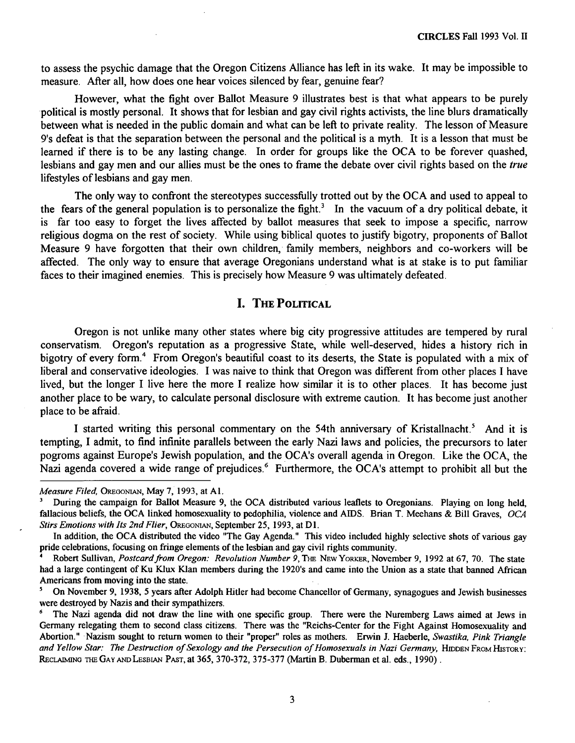to assess the psychic damage that the Oregon Citizens Alliance has left in its wake. It may be impossible to measure. After all, how does one hear voices silenced **by** fear, genuine fear?

However, what the fight over Ballot Measure **9** illustrates best is that what appears to be purely political is mostly personal. It shows that for lesbian and gay civil rights activists, the line blurs dramatically between what is needed in the public domain and what can be left to private reality. The lesson of Measure 9's defeat is that the separation between the personal and the political is a myth. It is a lesson that must be learned if there is to be any lasting change. In order for groups like the **OCA** to be forever quashed, lesbians and gay men and our allies must be the ones to frame the debate over civil rights based on the *true* lifestyles of lesbians and gay men.

The only way to confront the stereotypes successfully trotted out **by** the **OCA** and used to appeal to the fears of the general population is to personalize the fight.' In the vacuum of a dry political debate, it is far too easy to forget the lives affected **by** ballot measures that seek to impose a specific, narrow religious dogma on the rest of society. While using biblical quotes to justify bigotry, proponents of Ballot Measure **9** have forgotten that their own children, family members, neighbors and co-workers will be affected. The only way to ensure that average Oregonians understand what is at stake is to put familiar faces to their imagined enemies. This is precisely how Measure **9** was ultimately defeated.

## **I. THE POLITICAL**

Oregon is not unlike many other states where big city progressive attitudes are tempered **by** rural conservatism. Oregon's reputation as a progressive State, while well-deserved, hides a history rich in bigotry of every form.<sup>4</sup> From Oregon's beautiful coast to its deserts, the State is populated with a mix of liberal and conservative ideologies. **I** was naive to think that Oregon was different from other places **I** have lived, but the longer I live here the more I realize how similar it is to other places. It has become just another place to be wary, to calculate personal disclosure with extreme caution. It has become just another place to be afraid.

I started writing this personal commentary on the 54th anniversary of Kristallnacht.<sup>5</sup> And it is tempting, **I** admit, to find infinite parallels between the early Nazi laws and policies, the precursors to later pogroms against Europe's Jewish population, and the OCA's overall agenda in Oregon. Like the OCA, the Nazi agenda covered a wide range of prejudices.<sup>6</sup> Furthermore, the OCA's attempt to prohibit all but the

*Measure Filed,* OREGONIAN, May 7, 1993, at **Al.**

**<sup>&#</sup>x27;** During the campaign for Ballot Measure **9,** the **OCA** distributed various leaflets to Oregonians. Playing on long held, fallacious beliefs, the **OCA** linked homosexuality to pedophilia, violence and AIDS. Brian T. Meehans & Bill Graves, *OCA* **Stirs Emotions with Its 2nd Flier, OREGONIAN, September 25, 1993, at D1.** 

In addition, the **OCA** distributed the video "The Gay Agenda." This video included **highly** selective shots of various gay pride celebrations, focusing on fringe elements of the lesbian and gay civil rights community.

**<sup>&#</sup>x27;** Robert Sullivan, *Postcard from Oregon: Revolution Number 9,* **THE** NEw YORKER, November **9, 1992** at **67, 70.** The state had a large contingent of Ku Klux Klan members during the 1920's and came into the Union as a state that banned African Americans from moving into the state.

**<sup>&#</sup>x27;** On November **9, 1938,** 5 years after Adolph Hitler had become Chancellor of Germany, synagogues and Jewish businesses were destroyed **by** Nazis and their sympathizers.

The Nazi agenda did not draw the line with one specific group. There were the Nuremberg Laws aimed at Jews in Germany relegating them to second class citizens. There was the "Reichs-Center for the Fight Against Homosexuality and Abortion." Nazism sought to return women to their "proper" roles as mothers. Erwin **J.** Haeberle, *Swastika, Pink Triangle* and Yellow Star: The Destruction of Sexology and the Persecution of Homosexuals in Nazi Germany, HIDDEN FROM HISTORY: RECLAIMING THE GAY **AND** LESBIAN **PAST,** at **365, 370-372, 375-377** (Martin B. Duberman et al. eds., **1990).**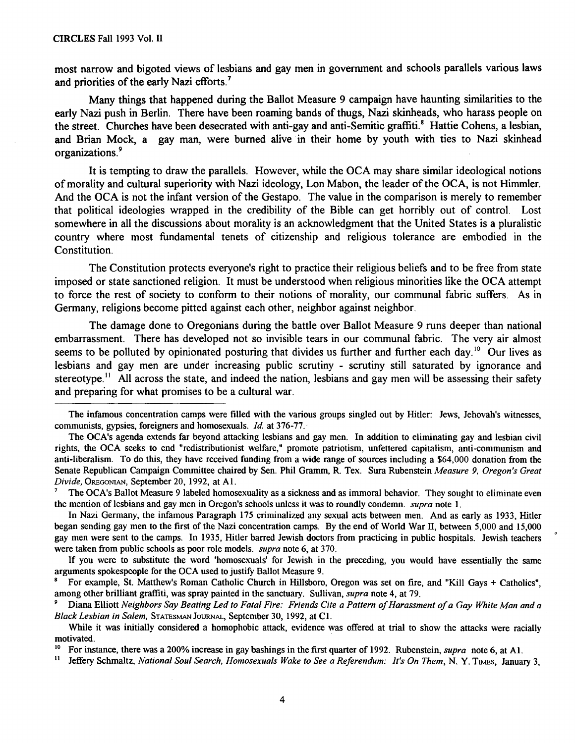most narrow and bigoted views of lesbians and gay men in government and schools parallels various laws and priorities of the early Nazi efforts.<sup>7</sup>

Many things that happened during the Ballot Measure 9 campaign have haunting similarities to the early Nazi push in Berlin. There have been roaming bands of thugs, Nazi skinheads, who harass people on the street. Churches have been desecrated with anti-gay and anti-Semitic graffiti.<sup>8</sup> Hattie Cohens, a lesbian, and Brian Mock, a gay man, were burned alive in their home **by** youth with ties to Nazi skinhead organizations.<sup>9</sup>

It is tempting to draw the parallels. However, while the **OCA** may share similar ideological notions of morality and cultural superiority with Nazi ideology, Lon Mabon, the leader of the **OCA,** is not Himmler. And the **OCA** is not the infant version of the Gestapo. The value in the comparison is merely to remember that political ideologies wrapped in the credibility of the Bible can get horribly out of control. Lost somewhere in all the discussions about morality is an acknowledgment that the United States is a pluralistic country where most fundamental tenets of citizenship and religious tolerance are embodied in the Constitution.

The Constitution protects everyone's right to practice their religious beliefs and to be free from state imposed or state sanctioned religion. It must be understood when religious minorities like the **OCA** attempt to force the rest of society to conform to their notions of morality, our communal fabric suffers. As in Germany, religions become pitted against each other, neighbor against neighbor.

The damage done to Oregonians during the battle over Ballot Measure **9** runs deeper than national embarrassment. There has developed not so invisible tears in our communal fabric. The very air almost seems to be polluted by opinionated posturing that divides us further and further each day.<sup>10</sup> Our lives as lesbians and gay men are under increasing public scrutiny **-** scrutiny still saturated **by** ignorance and stereotype.<sup>11</sup> All across the state, and indeed the nation, lesbians and gay men will be assessing their safety and preparing for what promises to be a cultural war.

The infamous concentration camps were filled with the various groups singled out **by** Hitler: Jews, Jehovah's witnesses, communists, gypsies, foreigners and homosexuals. *Id.* at **376-77.**

The OCA's agenda extends far beyond attacking lesbians and gay men. In addition to eliminating gay and lesbian civil rights, the **OCA** seeks to end "redistributionist welfare," promote patriotism, unfettered capitalism, anti-communism and anti-liberalism. To do this, they have received funding from a wide range of sources including a \$64,000 donation from the Senate Republican Campaign Committee chaired **by** Sen. Phil Gramm, R. Tex. Sura Rubenstein *Measure 9, Oregon's Great Divide, OREPo.aAN,* September 20, **1992,** at **Al.**

**<sup>7</sup>** The OCA's Ballot Measure **9** labeled homosexuality as a sickness and as immoral behavior. They sought to eliminate even the mention of lesbians and gay men in Oregon's schools unless it was to roundly condemn. *supra* note **1.**

In Nazi Germany, the infamous Paragraph **175** criminalized any sexual acts between men. And as early as **1933,** Hitler began sending gay men to the first of the Nazi concentration camps. **By** the end of World War **II,** between **5,000** and **15,000** gay men were sent to the camps. In **1935,** Hitler barred Jewish doctors from practicing in public hospitals. Jewish teachers were taken from public schools as poor role models. *supra* note 6, at **370.**

**If** you were to substitute the word 'homosexuals' for Jewish in the preceding, you would have essentially the same arguments spokespeople for the OCA used to justify Ballot Measure 9.

**<sup>&#</sup>x27;** For example, St. Matthew's Roman Catholic Church in Hillsboro, Oregon was set on fire, and "Kill Gays **+** Catholics", among other brilliant graffiti, was spray painted in the sanctuary. Sullivan, *supra* note 4, at **79.**

**<sup>&#</sup>x27;** Diana Elliott *Neighbors Say Beating Led to Fatal Fire: Friends Cite a Pattern of Harassment of a Gay White Man and a* Black *Lesbian in Salem,* **STATESMAN** JOURNAL, September 30, 1992, at **Cl.**

While it was initially considered a homophobic attack, evidence was offered at trial to show the attacks were racially motivated.

<sup>&</sup>lt;sup>10</sup> For instance, there was a 200% increase in gay bashings in the first quarter of 1992. Rubenstein, *supra* note 6, at Al.<br><sup>11</sup> Jeffery Schmaltz, *National Soul Search, Homosexuals Wake to See a Beferendum: It's On Them* 

Jeffery Schmaltz, *National Soul Search, Homosexuals Wake to See a Referendum: It's On Them, N. Y. TIMES, January 3,*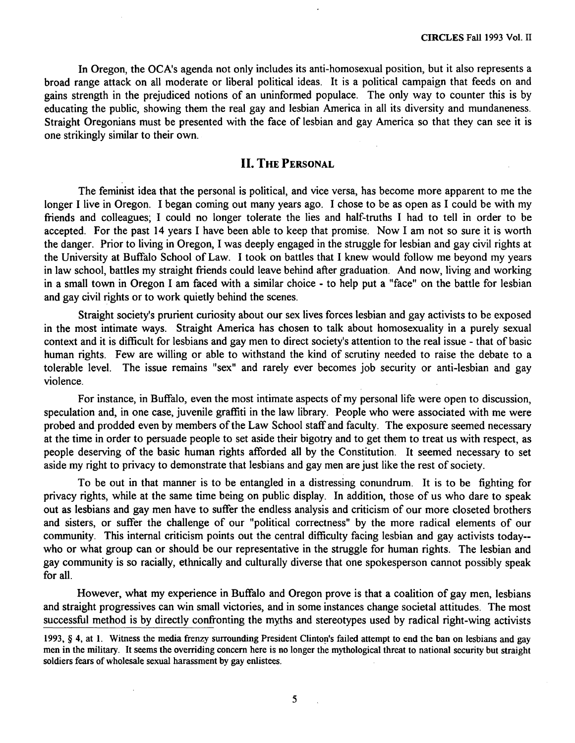In Oregon, the OCA's agenda not only includes its anti-homosexual position, but it also represents a broad range attack on all moderate or liberal political ideas. It is a political campaign that feeds on and gains strength in the prejudiced notions of an uninformed populace. The only way to counter this is by educating the public, showing them the real gay and lesbian America in all its diversity and mundaneness. Straight Oregonians must be presented with the face of lesbian and gay America so that they can see it is one strikingly similar to their own.

### **II. THE PERSONAL**

The feminist idea that the personal is political, and vice versa, has become more apparent to me the longer I live in Oregon. I began coming out many years ago. **I** chose to be as open as **I** could be with my friends and colleagues; **I** could no longer tolerate the lies and half-truths I had to tell in order to be accepted. For the past 14 years I have been able to keep that promise. Now **I** am not so sure it is worth the danger. Prior to living in Oregon, **I** was deeply engaged in the struggle for lesbian and gay civil rights at the University at Buffalo School of Law. I took on battles that **I** knew would follow me beyond my years in law school, battles my straight friends could leave behind after graduation. And now, living and working in a small town in Oregon I am faced with a similar choice - to help put a "face" on the battle for lesbian and gay civil rights or to work quietly behind the scenes.

Straight society's prurient curiosity about our sex lives forces lesbian and gay activists to be exposed in the most intimate ways. Straight America has chosen to talk about homosexuality in a purely sexual context and it is difficult for lesbians and gay men to direct society's attention to the real issue - that of basic human rights. Few are willing or able to withstand the kind of scrutiny needed to raise the debate to a tolerable level. The issue remains "sex" and rarely ever becomes job security or anti-lesbian and gay violence.

For instance, in Buffalo, even the most intimate aspects of my personal life were open to discussion, speculation and, in one case, juvenile graffiti in the law library. People who were associated with me were probed and prodded even by members of the Law School staff and faculty. The exposure seemed necessary at the time in order to persuade people to set aside their bigotry and to get them to treat us with respect, as people deserving of the basic human rights afforded all by the Constitution. It seemed necessary to set aside my right to privacy to demonstrate that lesbians and gay men are just like the rest of society.

To be out in that manner is to be entangled in a distressing conundrum. It is to be fighting for privacy rights, while at the same time being on public display. In addition, those of us who dare to speak out as lesbians and gay men have to suffer the endless analysis and criticism of our more closeted brothers and sisters, or suffer the challenge of our "political correctness" by the more radical elements of our community. This internal criticism points out the central difficulty facing lesbian and gay activists today- who or what group can or should be our representative in the struggle for human rights. The lesbian and gay community is so racially, ethnically and culturally diverse that one spokesperson cannot possibly speak for all.

However, what my experience in Buffalo and Oregon prove is that a coalition of gay men, lesbians and straight progressives can win small victories, and in some instances change societal attitudes. The most successful method is by directly confronting the myths and stereotypes used by radical right-wing activists

 $\bar{\mathbf{r}}$ 

 $5^{\circ}$ 

<sup>1993, § 4,</sup> at 1. Witness the media frenzy surrounding President Clinton's failed attempt to end the ban on lesbians and gay men in the military. It seems the overriding concern here is no longer the mythological threat to national security but straight soldiers fears of wholesale sexual harassment by gay enlistees.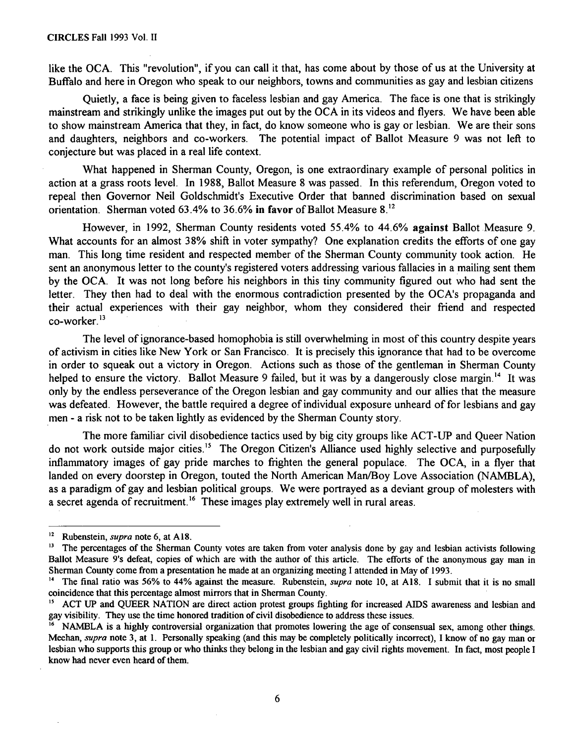#### **CIRCLES** Fall 1993 Vol. II

like the OCA. This "revolution", if you can call it that, has come about by those of us at the University at Buffalo and here in Oregon who speak to our neighbors, towns and communities as gay and lesbian citizens

Quietly, a face is being given to faceless lesbian and gay America. The face is one that is strikingly mainstream and strikingly unlike the images put out by the OCA in its videos and flyers. We have been able to show mainstream America that they, in fact, do know someone who is gay or lesbian. We are their sons and daughters, neighbors and co-workers. The potential impact of Ballot Measure 9 was not left to conjecture but was placed in a real life context.

What happened in Sherman County, Oregon, is one extraordinary example of personal politics in action at a grass roots level. In 1988, Ballot Measure 8 was passed. In this referendum, Oregon voted to repeal then Governor Neil Goldschmidt's Executive Order that banned discrimination based on sexual orientation. Sherman voted 63.4% to 36.6% in favor of Ballot Measure 8.<sup>12</sup>

However, in 1992, Sherman County residents voted 55.4% to 44.6% against Ballot Measure 9. What accounts for an almost 38% shift in voter sympathy? One explanation credits the efforts of one gay man. This long time resident and respected member of the Sherman County community took action. He sent an anonymous letter to the county's registered voters addressing various fallacies in a mailing sent them by the OCA. It was not long before his neighbors in this tiny community figured out who had sent the letter. They then had to deal with the enormous contradiction presented by the OCA's propaganda and their actual experiences with their gay neighbor, whom they considered their friend and respected co-worker.<sup>13</sup>

The level of ignorance-based homophobia is still overwhelming in most of this country despite years of activism in cities like New York or San Francisco. It is precisely this ignorance that had to be overcome in order to squeak out a victory in Oregon. Actions such as those of the gentleman in Sherman County helped to ensure the victory. Ballot Measure 9 failed, but it was by a dangerously close margin.<sup>14</sup> It was only by the endless perseverance of the Oregon lesbian and gay community and our allies that the measure was defeated. However, the battle required a degree of individual exposure unheard of for lesbians and gay men - a risk not to be taken lightly as evidenced by the Sherman County story.

The more familiar civil disobedience tactics used by big city groups like ACT-UP and Queer Nation do not work outside major cities.<sup>15</sup> The Oregon Citizen's Alliance used highly selective and purposefully inflammatory images of gay pride marches to frighten the general populace. The OCA, in a flyer that landed on every doorstep in Oregon, touted the North American Man/Boy Love Association (NAMBLA), as a paradigm of gay and lesbian political groups. We were portrayed as a deviant group of molesters with a secret agenda of recruitment.<sup>16</sup> These images play extremely well in rural areas.

<sup>&</sup>lt;sup>12</sup> Rubenstein, *supra* note 6, at A18.

<sup>&</sup>lt;sup>13</sup> The percentages of the Sherman County votes are taken from voter analysis done by gay and lesbian activists following Ballot Measure 9's defeat, copies of which are with the author of this article. The efforts of the anonymous gay man in Sherman County come from a presentation he made at an organizing meeting I attended in May of 1993.

**<sup>&</sup>quot;'** The final ratio was 56% to 44% against the measure. Rubenstein, *supra* note 10, at A18. I submit that it is no small coincidence that this percentage almost mirrors that in Sherman County.

**<sup>&</sup>quot;** ACT UP and QUEER NATION are direct action protest groups fighting for increased AIDS awareness and lesbian and gay visibility. They use the time honored tradition of civil disobedience to address these issues.

NAMBLA is a highly controversial organization that promotes lowering the age of consensual sex, among other things. Meehan, *supra* note 3, at 1. Personally speaking (and this may be completely politically incorrect), I know of no gay man or lesbian who supports this group or who thinks they belong in the lesbian and gay civil rights movement. In fact, most people I know had never even heard of them.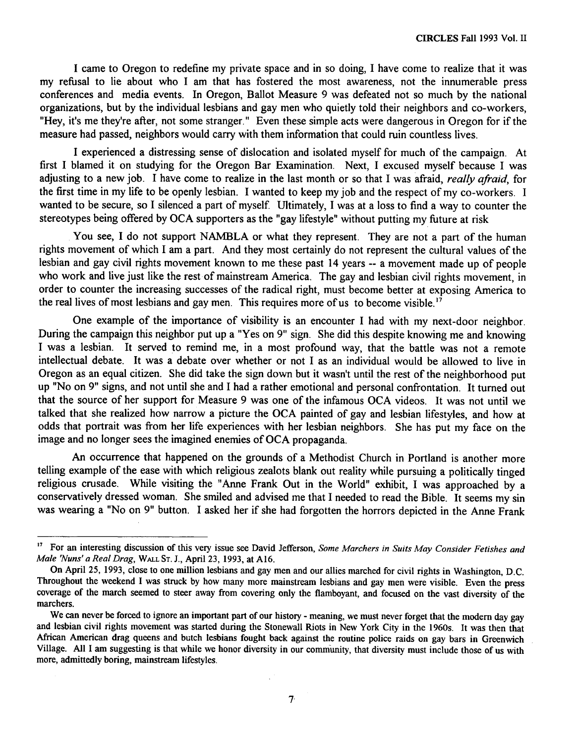I came to Oregon to redefine my private space and in so doing, I have come to realize that it was my refusal to lie about who I am that has fostered the most awareness, not the innumerable press conferences and media events. In Oregon, Ballot Measure 9 was defeated not so much by the national organizations, but by the individual lesbians and gay men who quietly told their neighbors and co-workers, "Hey, it's me they're after, not some stranger." Even these simple acts were dangerous in Oregon for if the measure had passed, neighbors would carry with them information that could ruin countless lives.

I experienced a distressing sense of dislocation and isolated myself for much of the campaign. At first I blamed it on studying for the Oregon Bar Examination. Next, I excused myself because I was adjusting to a new job. I have come to realize in the last month or so that I was afraid, *really afraid,* for the first time in my life to be openly lesbian. I wanted to keep my job and the respect of my co-workers. I wanted to be secure, so I silenced a part of myself. Ultimately, I was at a loss to find a way to counter the stereotypes being offered by OCA supporters as the "gay lifestyle" without putting my future at risk

**.** You see, I do not support NAMBLA or what they represent. They are not a part of the human rights movement of which I am a part. And they most certainly do not represent the cultural values of the lesbian and gay civil rights movement known to me these past 14 years -- a movement made up of people who work and live just like the rest of mainstream America. The gay and lesbian civil rights movement, in order to counter the increasing successes of the radical right, must become better at exposing America to the real lives of most lesbians and gay men. This requires more of us to become visible.<sup>17</sup>

One example of the importance of visibility is an encounter I had with my next-door neighbor. During the campaign this neighbor put up a "Yes on 9" sign. She did this despite knowing me and knowing I was a lesbian. It served to remind me, in a most profound way, that the battle was not a remote intellectual debate. It was a debate over whether or not I as an individual would be allowed to live in Oregon as an equal citizen. She did take the sign down but it wasn't until the rest of the neighborhood put up "No on 9" signs, and not until she and I had a rather emotional and personal confrontation. It turned out that the source of her support for Measure 9 was one of the infamous OCA videos. It was not until we talked that she realized how narrow a picture the OCA painted of gay and lesbian lifestyles, and how at odds that portrait was from her life experiences with her lesbian neighbors. She has put my face on the image and no longer sees the imagined enemies of OCA propaganda.

An occurrence that happened on the grounds of a Methodist Church in Portland is another more telling example of the ease with which religious zealots blank out reality while pursuing a politically tinged religious crusade. While visiting the "Anne Frank Out in the World" exhibit, I was approached by a conservatively dressed woman. She smiled and advised me that I needed to read the Bible. It seems my sin was wearing a "No on 9" button. I asked her if she had forgotten the horrors depicted in the Anne Frank

 $17<sub>1</sub>$ For an interesting discussion of this very issue see David Jefferson, *Some Marchers in Suits May Consider Fetishes and Male 'Nuns' a Real Drag,* WALL **ST.** J., April 23, 1993, at A16.

On April 25, 1993, close to one million lesbians and gay men and our allies marched for civil rights in Washington, D.C. Throughout the weekend I was struck by how many more mainstream lesbians and gay men were visible. Even the press coverage of the march seemed to steer away from covering only the flamboyant, and focused on the vast diversity of the marchers.

We can never be forced to ignore an important part of our history - meaning, we must never forget that the modern day gay and lesbian civil rights movement was started during the Stonewall Riots in New York City in the 1960s. It was then that African American drag queens and butch lesbians fought back against the routine police raids on gay bars in Greenwich Village. All I am suggesting is that while we honor diversity in our community, that diversity must include those of us with more, admittedly boring, mainstream lifestyles.